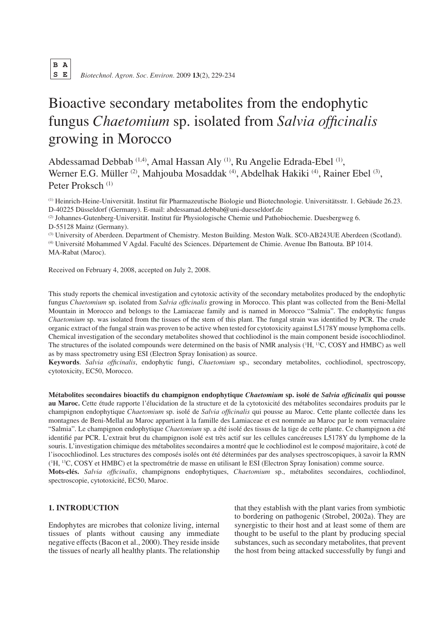Biotechnol. Agron. Soc. Environ. 2009 13(2), 229-234

# Bioactive secondary metabolites from the endophytic fungus Chaetomium sp. isolated from Salvia officinalis growing in Morocco

Abdessamad Debbab<sup>(1,4)</sup>, Amal Hassan Aly<sup>(1)</sup>, Ru Angelie Edrada-Ebel<sup>(1)</sup>, Werner E.G. Müller <sup>(2)</sup>, Mahjouba Mosaddak <sup>(4)</sup>, Abdelhak Hakiki <sup>(4)</sup>, Rainer Ebel <sup>(3)</sup>, Peter Proksch<sup>(1)</sup>

<sup>(1)</sup> Heinrich-Heine-Universität. Institut für Pharmazeutische Biologie und Biotechnologie. Universitätsstr. 1. Gebäude 26.23. D-40225 Düsseldorf (Germany). E-mail: abdessamad.debbab@uni-duesseldorf.de

(2) Johannes-Gutenberg-Universität. Institut für Physiologische Chemie und Pathobiochemie. Duesbergweg 6. D-55128 Mainz (Germany).

(3) University of Aberdeen, Department of Chemistry, Meston Building, Meston Walk, SCO-AB243UE Aberdeen (Scotland),

<sup>(4)</sup> Université Mohammed V Agdal. Faculté des Sciences. Département de Chimie. Avenue Ibn Battouta. BP 1014. MA-Rabat (Maroc).

Received on February 4, 2008, accepted on July 2, 2008.

This study reports the chemical investigation and cytotoxic activity of the secondary metabolites produced by the endophytic fungus Chaetomium sp. isolated from Salvia officinalis growing in Morocco. This plant was collected from the Beni-Mellal Mountain in Morocco and belongs to the Lamiaceae family and is named in Morocco "Salmia". The endophytic fungus Chaetomium sp. was isolated from the tissues of the stem of this plant. The fungal strain was identified by PCR. The crude organic extract of the fungal strain was proven to be active when tested for cytotoxicity against L5178Y mouse lymphoma cells. Chemical investigation of the secondary metabolites showed that cochliodinol is the main component beside isocochliodinol. The structures of the isolated compounds were determined on the basis of NMR analysis ('H, <sup>13</sup>C, COSY and HMBC) as well as by mass spectrometry using ESI (Electron Spray Ionisation) as source.

Keywords. Salvia officinalis, endophytic fungi, Chaetomium sp., secondary metabolites, cochliodinol, spectroscopy, cytotoxicity, EC50, Morocco.

Métabolites secondaires bioactifs du champignon endophytique Chaetomium sp. isolé de Salvia officinalis qui pousse au Maroc. Cette étude rapporte l'élucidation de la structure et de la cytotoxicité des métabolites secondaires produits par le champignon endophytique Chaetomium sp. isolé de Salvia officinalis qui pousse au Maroc. Cette plante collectée dans les montagnes de Beni-Mellal au Maroc appartient à la famille des Lamiaceae et est nommée au Maroc par le nom vernaculaire "Salmia". Le champignon endophytique Chaetomium sp. a été isolé des tissus de la tige de cette plante. Ce champignon a été identifié par PCR. L'extrait brut du champignon isolé est très actif sur les cellules cancéreuses L5178Y du lymphome de la souris. L'investigation chimique des métabolites secondaires a montré que le cochliodinol est le composé majoritaire, à coté de l'isocochliodinol. Les structures des composés isolés ont été déterminées par des analyses spectroscopiques, à savoir la RMN (<sup>1</sup>H. <sup>13</sup>C, COSY et HMBC) et la spectrométrie de masse en utilisant le ESI (Electron Spray Ionisation) comme source. Mots-clés. Salvia officinalis, champignons endophytiques, Chaetomium sp., métabolites secondaires, cochliodinol, spectroscopie, cytotoxicité, EC50, Maroc.

# **1. INTRODUCTION**

Endophytes are microbes that colonize living, internal tissues of plants without causing any immediate negative effects (Bacon et al., 2000). They reside inside the tissues of nearly all healthy plants. The relationship that they establish with the plant varies from symbiotic to bordering on pathogenic (Strobel, 2002a). They are synergistic to their host and at least some of them are thought to be useful to the plant by producing special substances, such as secondary metabolites, that prevent the host from being attacked successfully by fungi and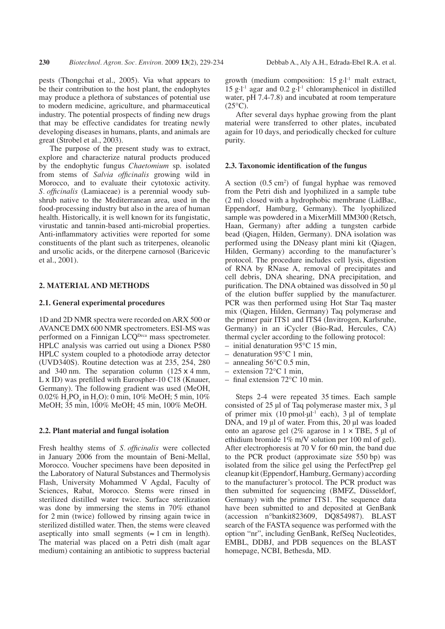pests (Thongchai et al., 2005). Via what appears to be their contribution to the host plant, the endophytes may produce a plethora of substances of potential use to modern medicine, agriculture, and pharmaceutical industry. The potential prospects of finding new drugs that may be effective candidates for treating newly developing diseases in humans, plants, and animals are great (Strobel et al., 2003).

The purpose of the present study was to extract, explore and characterize natural products produced by the endophytic fungus *Chaetomium* sp. isolated from stems of Salvia officinalis growing wild in Morocco, and to evaluate their cytotoxic activity. S. officinalis (Lamiaceae) is a perennial woody subshrub native to the Mediterranean area, used in the food-processing industry but also in the area of human health. Historically, it is well known for its fungistatic, virustatic and tannin-based anti-microbial properties. Anti-inflammatory activities were reported for some constituents of the plant such as triterpenes, oleanolic and ursolic acids, or the diterpene carnosol (Baricevic et al., 2001).

## 2. MATERIAL AND METHODS

## 2.1. General experimental procedures

1D and 2D NMR spectra were recorded on ARX 500 or AVANCE DMX 600 NMR spectrometers. ESI-MS was performed on a Finnigan LCQ<sup>Deca</sup> mass spectrometer. HPLC analysis was carried out using a Dionex P580 HPLC system coupled to a photodiode array detector (UVD340S). Routine detection was at 235, 254, 280 and 340 nm. The separation column  $(125 \times 4 \text{ mm})$ , L x ID) was prefilled with Eurospher-10 C18 (Knauer, Germany). The following gradient was used (MeOH, 0.02% H,PO, in H,O): 0 min, 10% MeOH; 5 min, 10% MeOH:  $35 \text{ min}$ ,  $100\%$  MeOH: 45 min,  $100\%$  MeOH.

#### 2.2. Plant material and fungal isolation

Fresh healthy stems of *S. officinalis* were collected in January 2006 from the mountain of Beni-Mellal, Morocco. Voucher specimens have been deposited in the Laboratory of Natural Substances and Thermolysis Flash, University Mohammed V Agdal, Faculty of Sciences, Rabat, Morocco. Stems were rinsed in sterilized distilled water twice. Surface sterilization was done by immersing the stems in 70% ethanol for 2 min (twice) followed by rinsing again twice in sterilized distilled water. Then, the stems were cleaved aseptically into small segments ( $\approx 1$  cm in length). The material was placed on a Petri dish (malt agar medium) containing an antibiotic to suppress bacterial growth (medium composition:  $15 \text{ g} \cdot l^{\text{-}1}$  malt extract, 15 g·l<sup>-1</sup> agar and 0.2 g·l<sup>-1</sup> chloramphenicol in distilled water, pH 7.4-7.8) and incubated at room temperature  $(25^{\circ}C).$ 

After several days hyphae growing from the plant material were transferred to other plates, incubated again for 10 days, and periodically checked for culture purity.

#### 2.3. Taxonomic identification of the fungus

A section  $(0.5 \text{ cm}^2)$  of fungal hyphae was removed from the Petri dish and lyophilized in a sample tube (2 ml) closed with a hydrophobic membrane (LidBac, Eppendorf, Hamburg, Germany). The lyophilized sample was powdered in a MixerMill MM300 (Retsch, Haan, Germany) after adding a tungsten carbide bead (Oiagen, Hilden, Germany). DNA isolation was performed using the DNeasy plant mini kit (Oiagen, Hilden, Germany) according to the manufacturer's protocol. The procedure includes cell lysis, digestion of RNA by RNase A, removal of precipitates and cell debris, DNA shearing, DNA precipitation, and purification. The DNA obtained was dissolved in 50 µl of the elution buffer supplied by the manufacturer. PCR was then performed using Hot Star Taq master mix (Qiagen, Hilden, Germany) Taq polymerase and the primer pair ITS1 and ITS4 (Invitrogen, Karlsruhe, Germany) in an iCycler (Bio-Rad, Hercules, CA) thermal cycler according to the following protocol:

- initial denaturation  $95^{\circ}$ C 15 min,
- denaturation  $95^{\circ}$ C 1 min,
- $-$  annealing 56 $\degree$ C 0.5 min.
- $-$  extension 72 $\degree$ C 1 min,
- $-$  final extension 72 $\mathrm{^{\circ}C}$  10 min.

Steps 2-4 were repeated 35 times. Each sample consisted of 25 µl of Taq polymerase master mix, 3 µl of primer mix  $(10 \text{ pmol·}\mu l^{-1} \text{ each})$ , 3  $\mu l$  of template DNA, and 19 ul of water. From this, 20 ul was loaded onto an agarose gel (2% agarose in  $1 \times$  TBE, 5 µl of ethidium bromide  $1\%$  m/V solution per 100 ml of gel). After electrophoresis at 70 V for 60 min, the band due to the PCR product (approximate size 550 bp) was isolated from the silice gel using the PerfectPrep gel cleanup kit (Eppendorf, Hamburg, Germany) according to the manufacturer's protocol. The PCR product was then submitted for sequencing (BMFZ, Düsseldorf, Germany) with the primer ITS1. The sequence data have been submitted to and deposited at GenBank (accession n°bankit823609, DQ854987). BLAST search of the FASTA sequence was performed with the option "nr", including GenBank, RefSeq Nucleotides, EMBL, DDBJ, and PDB sequences on the BLAST homepage, NCBI, Bethesda, MD.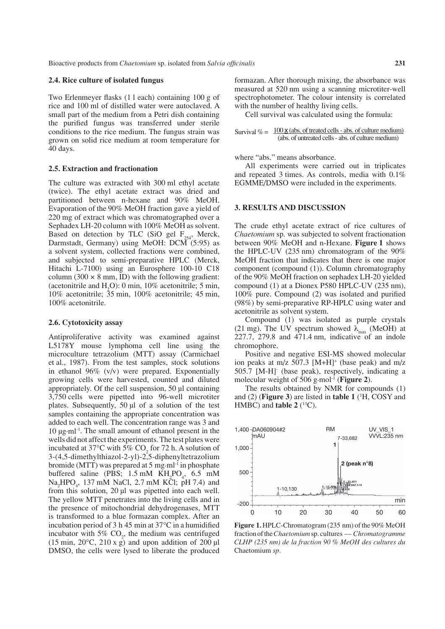#### 2.4. Rice culture of isolated fungus

Two Erlenmeyer flasks (11 each) containing 100 g of rice and 100 ml of distilled water were autoclaved. A small part of the medium from a Petri dish containing the purified fungus was transferred under sterile conditions to the rice medium. The fungus strain was grown on solid rice medium at room temperature for 40 days.

#### 2.5. Extraction and fractionation

The culture was extracted with 300 ml ethyl acetate (twice). The ethyl acetate extract was dried and partitioned between n-hexane and 90% MeOH. Evaporation of the 90% MeOH fraction gave a yield of 220 mg of extract which was chromatographed over a Sephadex LH-20 column with 100% MeOH as solvent. Based on detection by TLC (SiO gel  $F_{254}$ , Merck, Darmstadt, Germany) using MeOH: DCM (5:95) as a solvent system, collected fractions were combined. and subjected to semi-preparative HPLC (Merck, Hitachi L-7100) using an Eurosphere 100-10 C18 column (300  $\times$  8 mm, ID) with the following gradient: (acetonitrile and  $H<sub>2</sub>O$ ): 0 min, 10% acetonitrile; 5 min, 10% acetonitrile;  $35 \text{ min}$ , 100% acetonitrile; 45 min, 100% acetonitrile.

### 2.6. Cytotoxicity assay

Antiproliferative activity was examined against L5178Y mouse lymphoma cell line using the microculture tetrazolium (MTT) assay (Carmichael et al., 1987). From the test samples, stock solutions in ethanol  $96\%$  (v/v) were prepared. Exponentially growing cells were harvested, counted and diluted appropriately. Of the cell suspension, 50 µl containing 3,750 cells were pipetted into 96-well microtiter plates. Subsequently, 50 µl of a solution of the test samples containing the appropriate concentration was added to each well. The concentration range was 3 and 10 µg·ml<sup>-1</sup>. The small amount of ethanol present in the wells did not affect the experiments. The test plates were incubated at  $37^{\circ}$ C with  $5\%$  CO<sub>2</sub> for 72 h. A solution of 3-(4,5-dimethylthiazol-2-yl)-2,5-diphenyltetrazolium bromide (MTT) was prepared at 5 mg·ml<sup>-1</sup> in phosphate buffered saline (PBS;  $1.5 \text{ mM } KH_2PO_4$ , 6.5 mM Na<sub>2</sub>HPO<sub>2</sub>, 137 mM NaCl, 2.7 mM KCl; pH 7.4) and from this solution, 20 µl was pipetted into each well. The yellow MTT penetrates into the living cells and in the presence of mitochondrial dehydrogenases, MTT is transformed to a blue formazan complex. After an incubation period of 3 h 45 min at  $37^{\circ}$ C in a humidified incubator with  $5\%$  CO<sub>2</sub>, the medium was centrifuged  $(15 \text{ min}, 20^{\circ}\text{C}, 210 \text{ x g})$  and upon addition of 200 µl DMSO, the cells were lysed to liberate the produced formazan. After thorough mixing, the absorbance was measured at 520 nm using a scanning microtiter-well spectrophotometer. The colour intensity is correlated with the number of healthy living cells.

Cell survival was calculated using the formula:

| Survival $\% = \frac{100 \times (\text{abs. of treated cells - abs. of culture medium})}{200 \times (\text{abs. of treated cells - abs. of culture medium)}}$ |
|---------------------------------------------------------------------------------------------------------------------------------------------------------------|
| (abs. of untreated cells - abs. of culture medium)                                                                                                            |

where "abs." means absorbance.

All experiments were carried out in triplicates and repeated 3 times. As controls, media with 0.1% EGMME/DMSO were included in the experiments.

## **3. RESULTS AND DISCUSSION**

The crude ethyl acetate extract of rice cultures of *Chaetomium* sp. was subjected to solvent fractionation between 90% MeOH and n-Hexane. Figure 1 shows the HPLC-UV  $(235 \text{ nm})$  chromatogram of the  $90\%$ MeOH fraction that indicates that there is one major component (compound (1)). Column chromatography of the 90% MeOH fraction on sephadex LH-20 yielded compound (1) at a Dionex P580 HPLC-UV (235 nm), 100% pure. Compound (2) was isolated and purified (98%) by semi-preparative RP-HPLC using water and acetonitrile as solvent system.

Compound (1) was isolated as purple crystals (21 mg). The UV spectrum showed  $\lambda_{\text{max}}$  (MeOH) at  $227.7$ ,  $279.8$  and  $471.4$  nm, indicative of an indole chromophore.

Positive and negative ESI-MS showed molecular ion peaks at m/z 507.3  $[M+H]$ <sup>+</sup> (base peak) and m/z 505.7 [M-H] (base peak), respectively, indicating a molecular weight of 506 g·mol<sup>-1</sup> (Figure 2).

The results obtained by NMR for compounds (1) and (2) (Figure 3) are listed in table 1  $(^{1}H$ , COSY and HMBC) and **table 2**  $(^{13}C)$ .



Figure 1. HPLC-Chromatogram (235 nm) of the 90% MeOH fraction of the Chaetomium sp. cultures - Chromatogramme CLHP (235 nm) de la fraction 90 % MeOH des cultures du Chaetomium sp.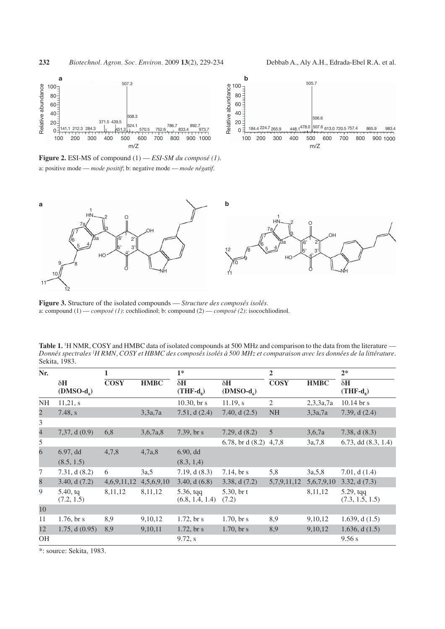

Figure 2. ESI-MS of compound  $(1)$  - ESI-SM du composé (1). a: positive mode — mode positif; b: negative mode — mode négatif.





Figure 3. Structure of the isolated compounds - Structure des composés isolés. a: compound  $(1)$  - composé (1): cochliodinol; b: compound  $(2)$  - composé (2): isocochliodinol.

Table 1. <sup>1</sup>H NMR, COSY and HMBC data of isolated compounds at 500 MHz and comparison to the data from the literature — Donnés spectrales <sup>1</sup>H RMN, COSY et HBMC des composés isolés à 500 MHz et comparaison avec les données de la littérature. Sekita, 1983.

| Nr.                      |                                    | 1           |             | $1*$                                  |                           | $\overline{2}$           |             | $2*$                                  |
|--------------------------|------------------------------------|-------------|-------------|---------------------------------------|---------------------------|--------------------------|-------------|---------------------------------------|
|                          | $\delta H$<br>$(DMSO-dc)$          | <b>COSY</b> | <b>HMBC</b> | $\delta H$<br>$(THF-ds)$              | $\delta H$<br>$(DMSO-ds)$ | $\overline{\text{COSY}}$ | <b>HMBC</b> | $\delta H$<br>$(THF-ds)$              |
| <b>NH</b>                | 11,21, s                           |             |             | 10.30, $\rm{br}$ s                    | $11.19$ , s               | $\mathfrak{2}$           | 2,3,3a,7a   | $10.14$ br s                          |
| $\overline{c}$           | 7.48, s                            |             | 3,3a,7a     | 7.51, $d(2.4)$                        | 7.40, $d(2.5)$            | <b>NH</b>                | 3,3a,7a     | 7.39, $d(2.4)$                        |
| 3                        |                                    |             |             |                                       |                           |                          |             |                                       |
| $\overline{\mathcal{L}}$ | 7,37, d(0.9)                       | 6,8         | 3,6,7a,8    | 7.39, br s                            | 7.29, $d(8.2)$            | 5                        | 3,6,7a      | 7.38, d(8.3)                          |
| 5                        |                                    |             |             |                                       | 6.78, br d $(8.2)$ 4,7,8  |                          | 3a,7,8      | $6.73$ , dd $(8.3, 1.4)$              |
| $\overline{6}$           | 6.97, d <sub>d</sub><br>(8.5, 1.5) | 4,7,8       | 4,7a,8      | 6.90, d <sub>d</sub><br>(8.3, 1.4)    |                           |                          |             |                                       |
| 7                        | 7.31, d(8.2)                       | 6           | 3a,5        | 7.19, $d(8.3)$                        | 7.14, $\rm{br}$ s         | 5,8                      | 3a, 5, 8    | 7.01, d(1.4)                          |
| 8                        | 3.40, d(7.2)                       | 4,6,9,11,12 | 4,5,6,9,10  | 3.40, d(6.8)                          | 3.38, d(7.2)              | 5,7,9,11,12              | 5,6,7,9,10  | 3.32, d(7.3)                          |
| 9                        | $5.40$ , tq<br>(7.2, 1.5)          | 8,11,12     | 8,11,12     | $5.36, \text{tqq}$<br>(6.8, 1.4, 1.4) | 5.30, $br$ t<br>(7.2)     |                          | 8,11,12     | $5.29, \text{tqq}$<br>(7.3, 1.5, 1.5) |
| 10                       |                                    |             |             |                                       |                           |                          |             |                                       |
| 11                       | 1.76, $\frac{1.76}{5.6}$           | 8,9         | 9, 10, 12   | $1.72$ , br s                         | 1.70, $\frac{b}{s}$       | 8,9                      | 9, 10, 12   | 1.639, d $(1.5)$                      |
| 12                       | 1.75, d(0.95)                      | 8,9         | 9,10,11     | $1.72$ , br s                         | $1.70$ , br s             | 8,9                      | 9,10,12     | 1.636, d $(1.5)$                      |
| <b>OH</b>                |                                    |             |             | 9.72, s                               |                           |                          |             | 9.56 s                                |

\*: source: Sekita, 1983.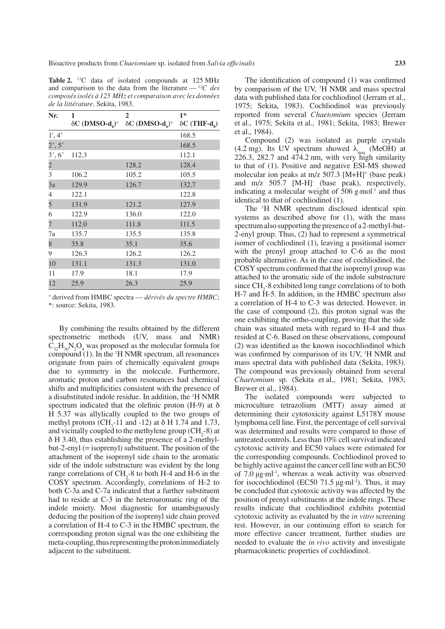Table 2. <sup>13</sup>C data of isolated compounds at 125 MHz and comparison to the data from the literature —  $^{13}C$  des composés isolés à 125 MHz et comparaison avec les données de la littérature. Sekita, 1983.

| Nr.               | 1     | $\mathbf{2}$                                                                                                                   | $1*$  |
|-------------------|-------|--------------------------------------------------------------------------------------------------------------------------------|-------|
|                   |       | $\delta C$ (DMSO-d <sub>c</sub> ) <sup>+</sup> $\delta C$ (DMSO-d <sub>c</sub> ) <sup>+</sup> $\delta C$ (THF-d <sub>s</sub> ) |       |
| 1', 4'            |       |                                                                                                                                | 168.5 |
| $2^{\prime}$ , 5' |       |                                                                                                                                | 168.5 |
| 3', 6'            | 112.3 |                                                                                                                                | 112.1 |
| $\overline{2}$    |       | 128.2                                                                                                                          | 128.4 |
| 3                 | 106.2 | 105.2                                                                                                                          | 105.5 |
| 3a                | 129.9 | 126.7                                                                                                                          | 132.7 |
| 4                 | 122.1 |                                                                                                                                | 122.8 |
| 5                 | 131.9 | 121.2                                                                                                                          | 127.9 |
| 6                 | 122.9 | 136.0                                                                                                                          | 122.0 |
| $\overline{7}$    | 112.0 | 111.8                                                                                                                          | 111.5 |
| 7a                | 135.7 | 135.5                                                                                                                          | 135.8 |
| 8                 | 35.8  | 35.1                                                                                                                           | 35.6  |
| 9                 | 126.3 | 126.2                                                                                                                          | 126.2 |
| 10                | 131.1 | 131.3                                                                                                                          | 131.0 |
| 11                | 17.9  | 18.1                                                                                                                           | 17.9  |
| 12                | 25.9  | 26.3                                                                                                                           | 25.9  |

+ derived from HMBC spectra - dérivés du spectre HMBC; \*: source: Sekita, 1983.

By combining the results obtained by the different spectrometric methods (UV, mass and NMR)  $C_{32}H_{30}N_2O_4$  was proposed as the molecular formula for compound (1). In the <sup>1</sup>H NMR spectrum, all resonances originate from pairs of chemically equivalent groups due to symmetry in the molecule. Furthermore, aromatic proton and carbon resonances had chemical shifts and multiplicities consistent with the presence of a disubstituted indole residue. In addition, the <sup>1</sup>H NMR spectrum indicated that the olefinic proton (H-9) at  $\delta$ H 5.37 was allylically coupled to the two groups of methyl protons (CH<sub>2</sub>-11 and -12) at  $\delta$  H 1.74 and 1.73, and vicinally coupled to the methylene group (CH<sub>3</sub>-8) at  $\delta$  H 3.40, thus establishing the presence of a 2-methyl $but-2$ -enyl (= isoprenyl) substituent. The position of the attachment of the isoprenyl side chain to the aromatic side of the indole substructure was evident by the long range correlations of CH<sub>2</sub>-8 to both H-4 and H-6 in the COSY spectrum. Accordingly, correlations of H-2 to both C-3a and C-7a indicated that a further substituent had to reside at C-3 in the heteroaromatic ring of the indole moiety. Most diagnostic for unambiguously deducing the position of the isoprenyl side chain proved a correlation of H-4 to C-3 in the HMBC spectrum, the corresponding proton signal was the one exhibiting the meta-coupling, thus representing the proton immediately adjacent to the substituent.

The identification of compound (1) was confirmed by comparison of the UV, <sup>1</sup>H NMR and mass spectral data with published data for cochliodinol (Jerram et al., 1975; Sekita, 1983). Cochliodinol was previously reported from several *Chaetomium* species (Jerram et al., 1975; Sekita et al., 1981; Sekita, 1983; Brewer et al., 1984).

Compound (2) was isolated as purple crystals (4.2 mg). Its UV spectrum showed  $\lambda_{\text{max}}$  (MeOH) at 226.3, 282.7 and 474.2 nm, with very high similarity to that of (1). Positive and negative ESI-MS showed molecular ion peaks at m/z 507.3 [M+H]<sup>+</sup> (base peak) and m/z 505.7 [M-H] (base peak), respectively, indicating a molecular weight of 506 g-mol<sup>-1</sup> and thus identical to that of cochliodinol (1).

The <sup>1</sup>H NMR spectrum disclosed identical spin systems as described above for (1), with the mass spectrum also supporting the presence of a 2-methyl-but-2-enyl group. Thus, (2) had to represent a symmetrical isomer of cochliodinol (1), leaving a positional isomer with the prenyl group attached to C-6 as the most probable alternative. As in the case of cochliodinol, the COSY spectrum confirmed that the isoprenyl group was attached to the aromatic side of the indole substructure since CH<sub>2</sub>-8 exhibited long range correlations of to both H-7 and H-5. In addition, in the HMBC spectrum also a correlation of H-4 to C-3 was detected. However, in the case of compound  $(2)$ , this proton signal was the one exhibiting the ortho-coupling, proving that the side chain was situated meta with regard to H-4 and thus resided at C-6. Based on these observations, compound (2) was identified as the known isocochliodinol which was confirmed by comparison of its UV, <sup>1</sup>H NMR and mass spectral data with published data (Sekita, 1983). The compound was previously obtained from several Chaetomium sp. (Sekita et al., 1981; Sekita, 1983; Brewer et al., 1984).

The isolated compounds were subjected to microculture tetrazolium (MTT) assay aimed at determining their cytotoxicity against L5178Y mouse lymphoma cell line. First, the percentage of cell survival was determined and results were compared to those of untreated controls. Less than 10% cell survival indicated cytotoxic activity and EC50 values were estimated for the corresponding compounds. Cochliodinol proved to be highly active against the cancer cell line with an EC50 of  $7.0 \mu$ g·ml<sup>-1</sup>, whereas a weak activity was observed for isocochliodinol (EC50 71.5  $\mu$ g·ml<sup>-1</sup>). Thus, it may be concluded that cytotoxic activity was affected by the position of prenyl substituents at the indole rings. These results indicate that cochliodinol exhibits potential cytotoxic activity as evaluated by the *in vitro* screening test. However, in our continuing effort to search for more effective cancer treatment, further studies are needed to evaluate the *in vivo* activity and investigate pharmacokinetic properties of cochliodinol.